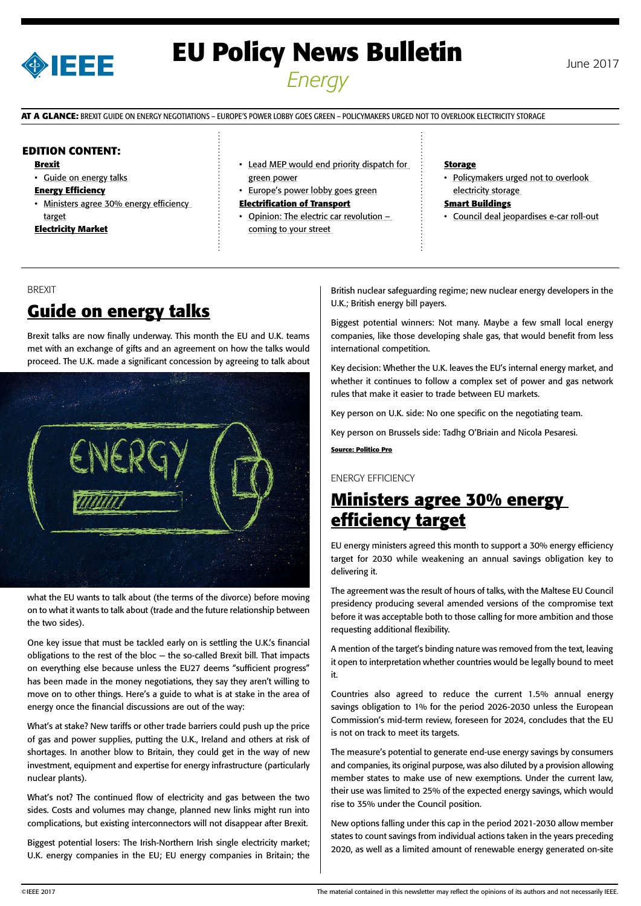

# **EU Policy News Bulletin** June 2017 *Energy*

**AT A GLANCE:** BREXIT GUIDE ON ENERGY NEGOTIATIONS – EUROPE'S POWER LOBBY GOES GREEN – POLICYMAKERS URGED NOT TO OVERLOOK ELECTRICITY STORAGE

### **EDITION CONTENT:**

- **Brexit**
- Guide on energy talks

#### **Energy Efficiency**

- Ministers agree 30% energy efficiency target
- **Electricity Market**
- [Lead MEP would end priority dispatch for](#page-1-0)  [green power](#page-1-0)
- [Europe's power lobby goes green](#page-1-0)
- **Electrification of Transport**
- [Opinion: The electric car revolution](#page-2-0)  [coming to your street](#page-2-0)

#### **Storage**

• Policymakers urged not to overlook [electricity storage](#page-2-0) 

#### **Smart Buildings**

• [Council deal jeopardises e-car roll-out](#page-3-0)

#### BREXIT

# **Guide on energy talks**

Brexit talks are now finally underway. This month the EU and U.K. teams met with an exchange of gifts and an agreement on how the talks would proceed. The U.K. made a significant concession by agreeing to talk about



what the EU wants to talk about (the terms of the divorce) before moving on to what it wants to talk about (trade and the future relationship between the two sides).

One key issue that must be tackled early on is settling the U.K.'s financial obligations to the rest of the bloc — the so-called Brexit bill. That impacts on everything else because unless the EU27 deems "sufficient progress" has been made in the money negotiations, they say they aren't willing to move on to other things. Here's a guide to what is at stake in the area of energy once the financial discussions are out of the way:

What's at stake? New tariffs or other trade barriers could push up the price of gas and power supplies, putting the U.K., Ireland and others at risk of shortages. In another blow to Britain, they could get in the way of new investment, equipment and expertise for energy infrastructure (particularly nuclear plants).

What's not? The continued flow of electricity and gas between the two sides. Costs and volumes may change, planned new links might run into complications, but existing interconnectors will not disappear after Brexit.

Biggest potential losers: The Irish-Northern Irish single electricity market; U.K. energy companies in the EU; EU energy companies in Britain; the British nuclear safeguarding regime; new nuclear energy developers in the U.K.; British energy bill payers.

Biggest potential winners: Not many. Maybe a few small local energy companies, like those developing shale gas, that would benefit from less international competition.

Key decision: Whether the U.K. leaves the EU's internal energy market, and whether it continues to follow a complex set of power and gas network rules that make it easier to trade between EU markets.

Key person on U.K. side: No one specific on the negotiating team.

Key person on Brussels side: Tadhg O'Briain and Nicola Pesaresi.

**Source: Politico Pro**

### ENERGY EFFICIENCY

### **Ministers agree 30% energy efficiency target**

EU energy ministers agreed this month to support a 30% energy efficiency target for 2030 while weakening an annual savings obligation key to delivering it.

The agreement was the result of hours of talks, with the Maltese EU Council presidency producing several amended versions of the compromise text before it was acceptable both to those calling for more ambition and those requesting additional flexibility.

A mention of the target's binding nature was removed from the text, leaving it open to interpretation whether countries would be legally bound to meet it.

Countries also agreed to reduce the current 1.5% annual energy savings obligation to 1% for the period 2026-2030 unless the European Commission's mid-term review, foreseen for 2024, concludes that the EU is not on track to meet its targets.

The measure's potential to generate end-use energy savings by consumers and companies, its original purpose, was also diluted by a provision allowing member states to make use of new exemptions. Under the current law, their use was limited to 25% of the expected energy savings, which would rise to 35% under the Council position.

New options falling under this cap in the period 2021-2030 allow member states to count savings from individual actions taken in the years preceding 2020, as well as a limited amount of renewable energy generated on-site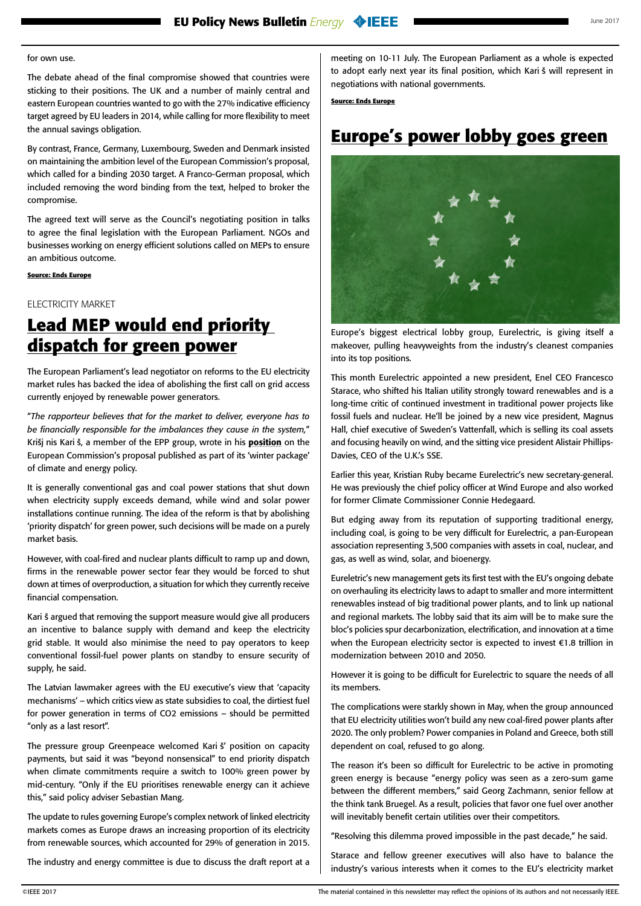### <span id="page-1-0"></span>for own use.

The debate ahead of the final compromise showed that countries were sticking to their positions. The UK and a number of mainly central and eastern European countries wanted to go with the 27% indicative efficiency target agreed by EU leaders in 2014, while calling for more flexibility to meet the annual savings obligation.

By contrast, France, Germany, Luxembourg, Sweden and Denmark insisted on maintaining the ambition level of the European Commission's proposal, which called for a binding 2030 target. A Franco-German proposal, which included removing the word binding from the text, helped to broker the compromise.

The agreed text will serve as the Council's negotiating position in talks to agree the final legislation with the European Parliament. NGOs and businesses working on energy efficient solutions called on MEPs to ensure an ambitious outcome.

### **Source: Ends Europe**

ELECTRICITY MARKET

## **Lead MEP would end priority dispatch for green power**

The European Parliament's lead negotiator on reforms to the EU electricity market rules has backed the idea of abolishing the first call on grid access currently enjoyed by renewable power generators.

"*The rapporteur believes that for the market to deliver, everyone has to be financially responsible for the imbalances they cause in the system,*" Krišj nis Kari š, a member of the EPP group, wrote in his [position](http://www.europarl.europa.eu/sides/getDoc.do?pubRef=-%2f%2fEP%2f%2fNONSGML%2bCOMPARL%2bPE-597.757%2b01%2bDOC%2bPDF%2bV0%2f%2fEN) on the European Commission's proposal published as part of its 'winter package' of climate and energy policy.

It is generally conventional gas and coal power stations that shut down when electricity supply exceeds demand, while wind and solar power installations continue running. The idea of the reform is that by abolishing 'priority dispatch' for green power, such decisions will be made on a purely market basis.

However, with coal-fired and nuclear plants difficult to ramp up and down, firms in the renewable power sector fear they would be forced to shut down at times of overproduction, a situation for which they currently receive financial compensation.

Kari š argued that removing the support measure would give all producers an incentive to balance supply with demand and keep the electricity grid stable. It would also minimise the need to pay operators to keep conventional fossil-fuel power plants on standby to ensure security of supply, he said.

The Latvian lawmaker agrees with the EU executive's view that 'capacity mechanisms' – which critics view as state subsidies to coal, the dirtiest fuel for power generation in terms of CO2 emissions – should be permitted "only as a last resort".

The pressure group Greenpeace welcomed Kari š' position on capacity payments, but said it was "beyond nonsensical" to end priority dispatch when climate commitments require a switch to 100% green power by mid-century. "Only if the EU prioritises renewable energy can it achieve this," said policy adviser Sebastian Mang.

The update to rules governing Europe's complex network of linked electricity markets comes as Europe draws an increasing proportion of its electricity from renewable sources, which accounted for 29% of generation in 2015.

The industry and energy committee is due to discuss the draft report at a

meeting on 10-11 July. The European Parliament as a whole is expected to adopt early next year its final position, which Kari š will represent in negotiations with national governments.

**Source: Ends Europe**

# **Europe's power lobby goes green**



Europe's biggest electrical lobby group, Eurelectric, is giving itself a makeover, pulling heavyweights from the industry's cleanest companies into its top positions.

This month Eurelectric appointed a new president, Enel CEO Francesco Starace, who shifted his Italian utility strongly toward renewables and is a long-time critic of continued investment in traditional power projects like fossil fuels and nuclear. He'll be joined by a new vice president, Magnus Hall, chief executive of Sweden's Vattenfall, which is selling its coal assets and focusing heavily on wind, and the sitting vice president Alistair Phillips-Davies, CEO of the U.K.'s SSE.

Earlier this year, Kristian Ruby became Eurelectric's new secretary-general. He was previously the chief policy officer at Wind Europe and also worked for former Climate Commissioner Connie Hedegaard.

But edging away from its reputation of supporting traditional energy, including coal, is going to be very difficult for Eurelectric, a pan-European association representing 3,500 companies with assets in coal, nuclear, and gas, as well as wind, solar, and bioenergy.

Eureletric's new management gets its first test with the EU's ongoing debate on overhauling its electricity laws to adapt to smaller and more intermittent renewables instead of big traditional power plants, and to link up national and regional markets. The lobby said that its aim will be to make sure the bloc's policies spur decarbonization, electrification, and innovation at a time when the European electricity sector is expected to invest €1.8 trillion in modernization between 2010 and 2050.

However it is going to be difficult for Eurelectric to square the needs of all its members.

The complications were starkly shown in May, when the group announced that EU electricity utilities won't build any new coal-fired power plants after 2020. The only problem? Power companies in Poland and Greece, both still dependent on coal, refused to go along.

The reason it's been so difficult for Eurelectric to be active in promoting green energy is because "energy policy was seen as a zero-sum game between the different members," said Georg Zachmann, senior fellow at the think tank Bruegel. As a result, policies that favor one fuel over another will inevitably benefit certain utilities over their competitors.

"Resolving this dilemma proved impossible in the past decade," he said.

Starace and fellow greener executives will also have to balance the industry's various interests when it comes to the EU's electricity market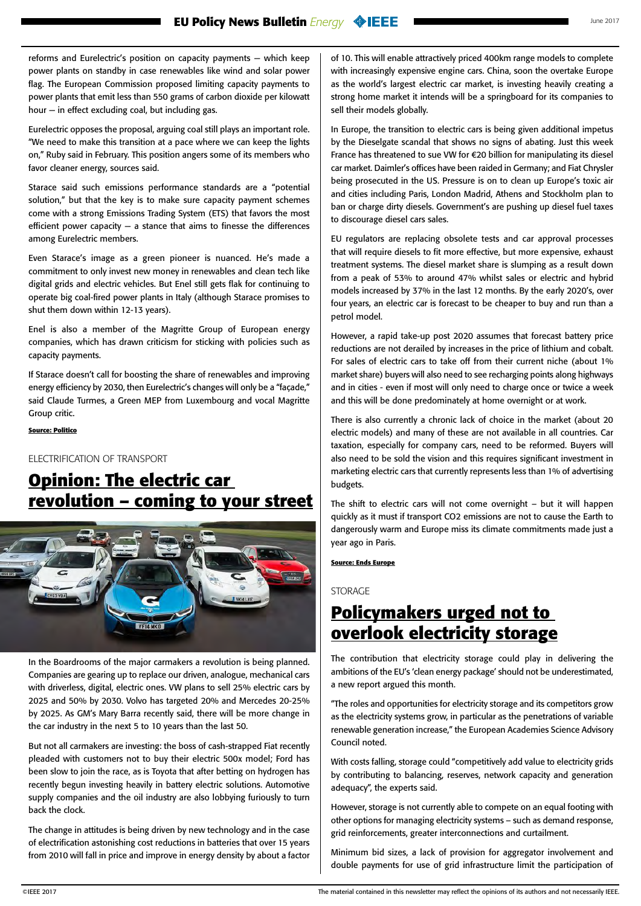<span id="page-2-0"></span>reforms and Eurelectric's position on capacity payments — which keep power plants on standby in case renewables like wind and solar power flag. The European Commission proposed limiting capacity payments to power plants that emit less than 550 grams of carbon dioxide per kilowatt hour — in effect excluding coal, but including gas.

Eurelectric opposes the proposal, arguing coal still plays an important role. "We need to make this transition at a pace where we can keep the lights on," Ruby said in February. This position angers some of its members who favor cleaner energy, sources said.

Starace said such emissions performance standards are a "potential solution," but that the key is to make sure capacity payment schemes come with a strong Emissions Trading System (ETS) that favors the most efficient power capacity  $-$  a stance that aims to finesse the differences among Eurelectric members.

Even Starace's image as a green pioneer is nuanced. He's made a commitment to only invest new money in renewables and clean tech like digital grids and electric vehicles. But Enel still gets flak for continuing to operate big coal-fired power plants in Italy (although Starace promises to shut them down within 12-13 years).

Enel is also a member of the Magritte Group of European energy companies, which has drawn criticism for sticking with policies such as capacity payments.

If Starace doesn't call for boosting the share of renewables and improving energy efficiency by 2030, then Eurelectric's changes will only be a "façade," said Claude Turmes, a Green MEP from Luxembourg and vocal Magritte Group critic.

#### **Source: Politico**

ELECTRIFICATION OF TRANSPORT

# **Opinion: The electric car revolution – coming to your street**



In the Boardrooms of the major carmakers a revolution is being planned. Companies are gearing up to replace our driven, analogue, mechanical cars with driverless, digital, electric ones. VW plans to sell 25% electric cars by 2025 and 50% by 2030. Volvo has targeted 20% and Mercedes 20-25% by 2025. As GM's Mary Barra recently said, there will be more change in the car industry in the next 5 to 10 years than the last 50.

But not all carmakers are investing: the boss of cash-strapped Fiat recently pleaded with customers not to buy their electric 500x model; Ford has been slow to join the race, as is Toyota that after betting on hydrogen has recently begun investing heavily in battery electric solutions. Automotive supply companies and the oil industry are also lobbying furiously to turn back the clock.

The change in attitudes is being driven by new technology and in the case of electrification astonishing cost reductions in batteries that over 15 years from 2010 will fall in price and improve in energy density by about a factor of 10. This will enable attractively priced 400km range models to complete with increasingly expensive engine cars. China, soon the overtake Europe as the world's largest electric car market, is investing heavily creating a strong home market it intends will be a springboard for its companies to sell their models globally.

In Europe, the transition to electric cars is being given additional impetus by the Dieselgate scandal that shows no signs of abating. Just this week France has threatened to sue VW for €20 billion for manipulating its diesel car market. Daimler's offices have been raided in Germany; and Fiat Chrysler being prosecuted in the US. Pressure is on to clean up Europe's toxic air and cities including Paris, London Madrid, Athens and Stockholm plan to ban or charge dirty diesels. Government's are pushing up diesel fuel taxes to discourage diesel cars sales.

EU regulators are replacing obsolete tests and car approval processes that will require diesels to fit more effective, but more expensive, exhaust treatment systems. The diesel market share is slumping as a result down from a peak of 53% to around 47% whilst sales or electric and hybrid models increased by 37% in the last 12 months. By the early 2020's, over four years, an electric car is forecast to be cheaper to buy and run than a petrol model.

However, a rapid take-up post 2020 assumes that forecast battery price reductions are not derailed by increases in the price of lithium and cobalt. For sales of electric cars to take off from their current niche (about 1% market share) buyers will also need to see recharging points along highways and in cities - even if most will only need to charge once or twice a week and this will be done predominately at home overnight or at work.

There is also currently a chronic lack of choice in the market (about 20 electric models) and many of these are not available in all countries. Car taxation, especially for company cars, need to be reformed. Buyers will also need to be sold the vision and this requires significant investment in marketing electric cars that currently represents less than 1% of advertising budgets.

The shift to electric cars will not come overnight – but it will happen quickly as it must if transport CO2 emissions are not to cause the Earth to dangerously warm and Europe miss its climate commitments made just a year ago in Paris.

#### **Source: Ends Europe**

**STORAGE** 

### **Policymakers urged not to overlook electricity storage**

The contribution that electricity storage could play in delivering the ambitions of the EU's 'clean energy package' should not be underestimated, a new [report](http://www.easac.eu/fileadmin/PDF_s/reports_statements/Electricity_Storage/EASAC_Electricity_Web_low_res_30_June.pdf) argued this month.

"The roles and opportunities for electricity storage and its competitors grow as the electricity systems grow, in particular as the penetrations of variable renewable generation increase," the European Academies Science Advisory Council noted.

With costs falling, storage could "competitively add value to electricity grids by contributing to balancing, reserves, network capacity and generation adequacy", the experts said.

However, storage is not currently able to compete on an equal footing with other options for managing electricity systems – such as demand response, grid reinforcements, greater interconnections and curtailment.

Minimum bid sizes, a lack of provision for aggregator involvement and double payments for use of grid infrastructure limit the participation of